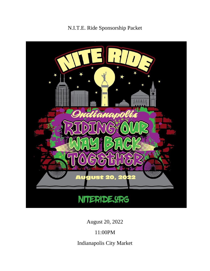N.I.T.E. Ride Sponsorship Packet



August 20, 2022

11:00PM

Indianapolis City Market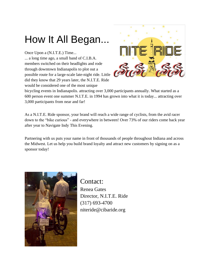# How It All Began...

Once Upon a (N.I.T.E.) Time...

... a long time ago, a small band of C.I.B.A. members switched on their headlights and rode through downtown Indianapolis to plot out a possible route for a large-scale late-night ride. Little did they know that 29 years later, the N.I.T.E. Ride would be considered one of the most unique



bicycling events in Indianapolis. attracting over 3,000 participants annually. What started as a 600 person event one summer N.I.T.E. in 1994 has grown into what it is today... attracting over 3,000 participants from near and far!

As a N.I.T.E. Ride sponsor, your brand will reach a wide range of cyclists, from the avid racer down to the "bike curious" - and everywhere in between! Over 73% of our riders come back year after year to Navigate Indy This Evening.

Partnering with us puts your name in front of thousands of people throughout Indiana and across the Midwest. Let us help you build brand loyalty and attract new customers by signing on as a sponsor today!



Contact: Renea Gates Director, N.I.T.E. Ride (317) 693-4700 niteride@cibaride.org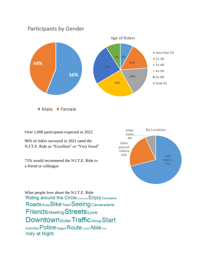

Over 1,000 participants expected in 2022

96% of riders surveyed in 2021 rated the N.I.T.E. Ride as "Excellent" or "Very Good"

75% would recommend the N.I.T.E. Ride to a friend or colleague



What people love about the N.I.T.E. Ride:Riding around the Circle Costumes Enjoy Comraderie Roads Rude Bike Town Seeing Camaraderie **Friends** Meeting Streets Love **Downtown** Butler Traffic Group Start Activities Police Wagon Route Cooler Able Prior Indy at Night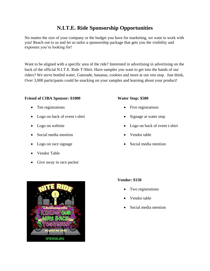## **N.I.T.E. Ride Sponsorship Opportunities**

No matter the size of your company or the budget you have for marketing, we want to work with you! Reach out to us and let us tailor a sponsorship package that gets you the visibility and exposure you're looking for!

Want to be aligned with a specific area of the ride? Interested in advertising in advertising on the back of the official N.I.T.E. Ride T-Shirt. Have samples you want to get into the hands of our riders? We serve bottled water, Gatorade, bananas, cookies and more at our rest stop. Just think, Over 3,000 participants could be snacking on your samples and learning about your product!

#### **Friend of CIBA Sponsor: \$1000**

- Ten registrations
- Logo on back of event t-shirt
- Logo on website
- Social media mention
- Logo on race signage
- Vendor Table
- Give away in race packet

#### **Water Stop: \$500**

- Five registrations
- Signage at water stop
- Logo on back of event t-shirt
- Vendor table
- Social media mention



#### **Vendor: \$150**

- Two registrations
- Vendor table
- Social media mention